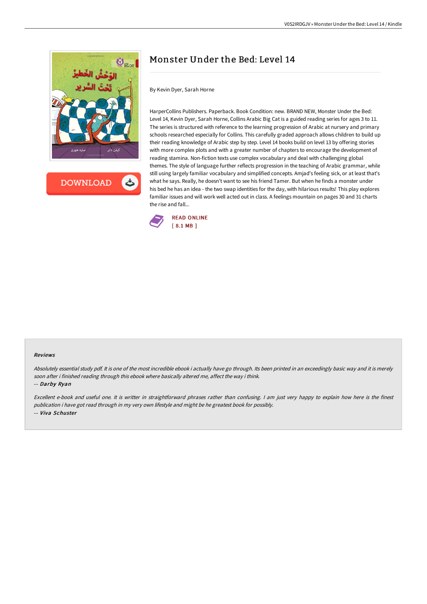

**DOWNLOAD** 

# Monster Under the Bed: Level 14

By Kevin Dyer, Sarah Horne

HarperCollins Publishers. Paperback. Book Condition: new. BRAND NEW, Monster Under the Bed: Level 14, Kevin Dyer, Sarah Horne, Collins Arabic Big Cat is a guided reading series for ages 3 to 11. The series is structured with reference to the learning progression of Arabic at nursery and primary schools researched especially for Collins. This carefully graded approach allows children to build up their reading knowledge of Arabic step by step. Level 14 books build on level 13 by offering stories with more complex plots and with a greater number of chapters to encourage the development of reading stamina. Non-fiction texts use complex vocabulary and deal with challenging global themes. The style of language further reflects progression in the teaching of Arabic grammar, while still using largely familiar vocabulary and simplified concepts. Amjad's feeling sick, or at least that's what he says. Really, he doesn't want to see his friend Tamer. But when he finds a monster under his bed he has an idea - the two swap identities for the day, with hilarious results! This play explores familiar issues and will work well acted out in class. A feelings mountain on pages 30 and 31 charts the rise and fall...



#### Reviews

Absolutely essential study pdf. It is one of the most incredible ebook i actually have go through. Its been printed in an exceedingly basic way and it is merely soon after i finished reading through this ebook where basically altered me, affect the way i think.

-- Darby Ryan

Excellent e-book and useful one. It is writter in straightforward phrases rather than confusing. <sup>I</sup> am just very happy to explain how here is the finest publication i have got read through in my very own lifestyle and might be he greatest book for possibly. -- Viva Schuster